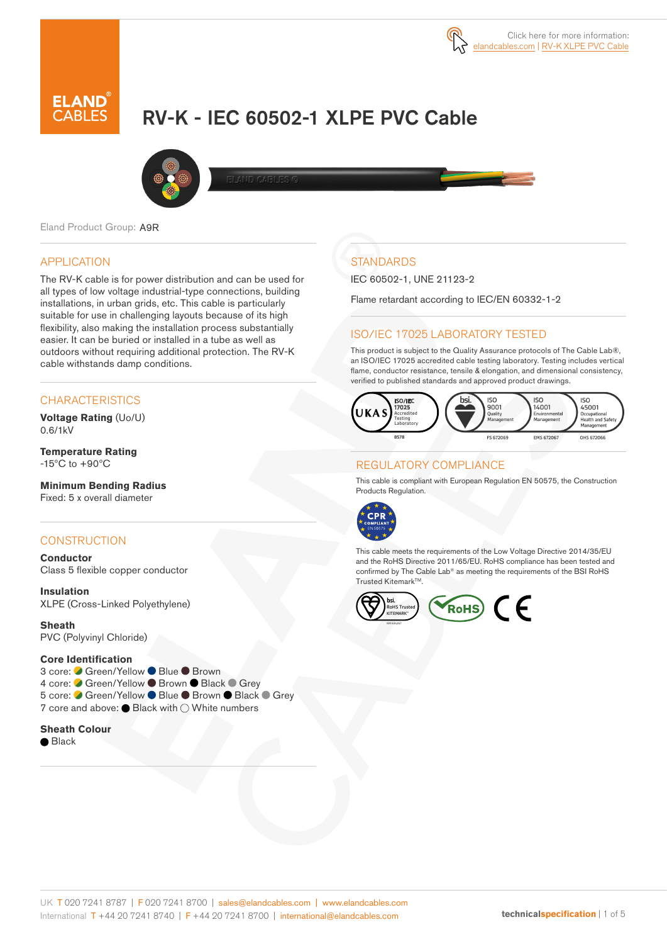

# RV-K - IEC 60502-1 XLPE PVC Cable



Eland Product Group: A9R

#### APPLICATION

The RV-K cable is for power distribution and can be used for all types of low voltage industrial-type connections, building installations, in urban grids, etc. This cable is particularly suitable for use in challenging layouts because of its high flexibility, also making the installation process substantially easier. It can be buried or installed in a tube as well as outdoors without requiring additional protection. The RV-K cable withstands damp conditions.

### **CHARACTERISTICS**

**Voltage Rating** (Uo/U) 0.6/1kV

**Temperature Rating** -15ºC to +90ºC

**Minimum Bending Radius**  Fixed: 5 x overall diameter

#### **CONSTRUCTION**

**Conductor** Class 5 flexible copper conductor

**Insulation** XLPE (Cross-Linked Polyethylene)

**Sheath** PVC (Polyvinyl Chloride)

#### **Core Identification**

3 core: ● Green/Yellow ● Blue ● Brown 4 core: Green/Yellow ● Brown ● Black ● Grey 5 core: ● Green/Yellow ● Blue ● Brown ● Black ● Grev 7 core and above: ● Black with ○ White numbers

### **Sheath Colour**

● Black

# **STANDARDS**

IEC 60502-1, UNE 21123-2

Flame retardant according to IEC/EN 60332-1-2

#### ISO/IEC 17025 LABORATORY TESTED

This product is subject to the Quality Assurance protocols of The Cable Lab®, an ISO/IEC 17025 accredited cable testing laboratory. Testing includes vertical flame, conductor resistance, tensile & elongation, and dimensional consistency, verified to published standards and approved product drawings.



#### REGULATORY COMPLIANCE

This cable is compliant with European Regulation EN 50575, the Construction Products Regulation.



This cable meets the requirements of the Low Voltage Directive 2014/35/EU and the RoHS Directive 2011/65/EU. RoHS compliance has been tested and confirmed by The Cable Lab® as meeting the requirements of the BSI RoHS Trusted Kitemark™.

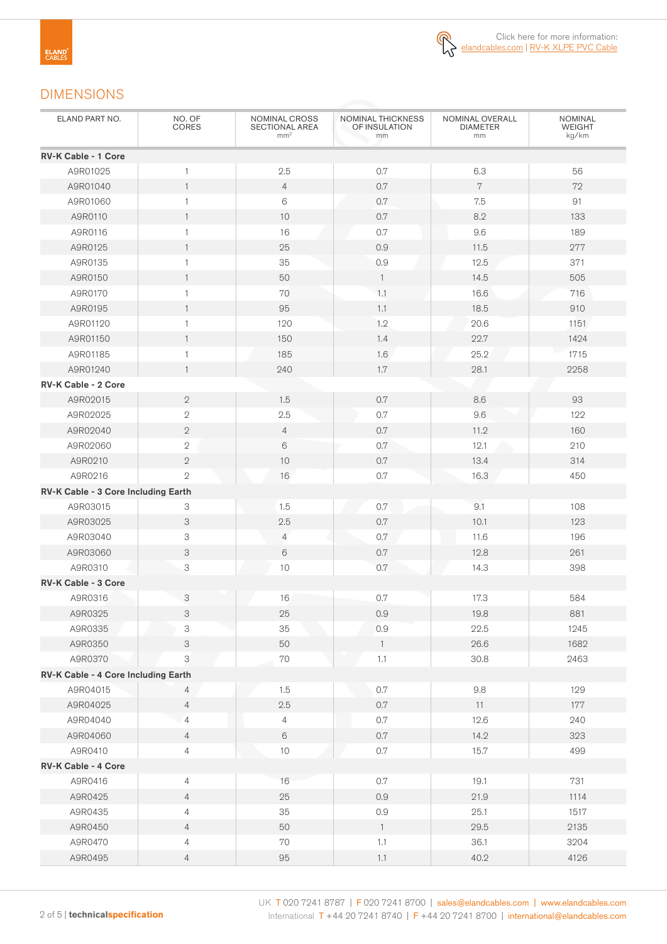

## DIMENSIONS

| ELAND PART NO.                      | NO. OF<br>CORES           | NOMINAL CROSS<br>SECTIONAL AREA<br>mm <sup>2</sup> | <b>NOMINAL THICKNESS</b><br>OF INSULATION<br>mm | NOMINAL OVERALL<br><b>DIAMETER</b><br>mm | <b>NOMINAL</b><br><b>WEIGHT</b><br>kg/km |
|-------------------------------------|---------------------------|----------------------------------------------------|-------------------------------------------------|------------------------------------------|------------------------------------------|
| <b>RV-K Cable - 1 Core</b>          |                           |                                                    |                                                 |                                          |                                          |
| A9R01025                            | $\mathbf{1}$              | 2.5                                                | 0.7                                             | 6.3                                      | 56                                       |
| A9R01040                            | $\mathbf{1}$              | $\overline{4}$                                     | 0.7                                             | $\overline{7}$                           | 72                                       |
| A9R01060                            | $\mathbf{1}$              | $6\,$                                              | 0.7                                             | 7.5                                      | 91                                       |
| A9R0110                             | $\mathbf{1}$              | 10                                                 | 0.7                                             | 8.2                                      | 133                                      |
| A9R0116                             | $\mathbf{1}$              | 16                                                 | $0.7\,$                                         | 9.6                                      | 189                                      |
| A9R0125                             | $\mathbf{1}$              | 25                                                 | 0.9                                             | 11.5                                     | 277                                      |
| A9R0135                             | $\mathbf{1}$              | 35                                                 | 0.9                                             | 12.5                                     | 371                                      |
| A9R0150                             | $\mathbf{1}$              | 50                                                 | $\overline{1}$                                  | 14.5                                     | 505                                      |
| A9R0170                             | 1                         | 70                                                 | 1.1                                             | 16.6                                     | 716                                      |
| A9R0195                             | $\mathbf{1}$              | 95                                                 | 1.1                                             | 18.5                                     | 910                                      |
| A9R01120                            | $\mathbf{1}$              | 120                                                | 1.2                                             | 20.6                                     | 1151                                     |
| A9R01150                            | $\mathbf{1}$              | 150                                                | 1.4                                             | 22.7                                     | 1424                                     |
| A9R01185                            | 1                         | 185                                                | 1.6                                             | 25.2                                     | 1715                                     |
| A9R01240                            | $\mathbf{1}$              | 240                                                | 1.7                                             | 28.1                                     | 2258                                     |
| <b>RV-K Cable - 2 Core</b>          |                           |                                                    |                                                 |                                          |                                          |
| A9R02015                            | $\mathbf{2}$              | 1.5                                                | 0.7                                             | 8.6                                      | 93                                       |
| A9R02025                            | 2                         | 2.5                                                | 0.7                                             | 9.6                                      | 122                                      |
| A9R02040                            | $\overline{2}$            | $\overline{4}$                                     | 0.7                                             | 11.2                                     | 160                                      |
| A9R02060                            | $\overline{2}$            | 6                                                  | 0.7                                             | 12.1                                     | 210                                      |
| A9R0210                             | $\mathbf{2}$              | 10                                                 | $0.7\,$                                         | 13.4                                     | 314                                      |
| A9R0216                             | $\overline{2}$            | 16                                                 | 0.7                                             | 16.3                                     | 450                                      |
| RV-K Cable - 3 Core Including Earth |                           |                                                    |                                                 |                                          |                                          |
| A9R03015                            | 3                         | 1.5                                                | 0.7                                             | 9.1                                      | 108                                      |
| A9R03025                            | 3                         | 2.5                                                | 0.7                                             | 10.1                                     | 123                                      |
| A9R03040                            | 3                         | $\overline{4}$                                     | 0.7                                             | 11.6                                     | 196                                      |
| A9R03060                            | 3                         | 6                                                  | 0.7                                             | 12.8                                     | 261                                      |
| A9R0310                             | 3                         | 10                                                 | 0.7                                             | 14.3                                     | 398                                      |
| <b>RV-K Cable - 3 Core</b>          |                           |                                                    |                                                 |                                          |                                          |
| A9R0316                             | 3                         | 16                                                 | 0.7                                             | 17.3                                     | 584                                      |
| A9R0325                             | 3                         | $25\,$                                             | $0.9\,$                                         | 19.8                                     | 881                                      |
| A9R0335                             | 3                         | 35                                                 | 0.9                                             | 22.5                                     | 1245                                     |
| A9R0350                             | $\mathsf S$               | 50                                                 | $\mathbf{1}$                                    | 26.6                                     | 1682                                     |
| A9R0370                             | $\ensuremath{\mathsf{3}}$ | $70\,$                                             | 1.1                                             | $30.8\,$                                 | 2463                                     |
| RV-K Cable - 4 Core Including Earth |                           |                                                    |                                                 |                                          |                                          |
| A9R04015                            | 4                         | 1.5                                                | 0.7                                             | $9.8\,$                                  | 129                                      |
| A9R04025                            | $\overline{4}$            | 2.5                                                | $0.7\,$                                         | 11                                       | 177                                      |
| A9R04040                            | $\overline{4}$            | $\overline{4}$                                     | 0.7                                             | 12.6                                     | 240                                      |
|                                     |                           | $\,6\,$                                            |                                                 | 14.2                                     |                                          |
| A9R04060                            | $\overline{4}$            | $10$                                               | $0.7\,$<br>$0.7\,$                              |                                          | 323<br>499                               |
| A9R0410                             | $\overline{4}$            |                                                    |                                                 | 15.7                                     |                                          |
| RV-K Cable - 4 Core                 |                           |                                                    |                                                 |                                          |                                          |
| A9R0416                             | $\overline{4}$            | 16                                                 | 0.7                                             | 19.1                                     | 731                                      |
| A9R0425                             | $\overline{4}$            | 25                                                 | $0.9\,$                                         | 21.9                                     | 1114                                     |
| A9R0435                             | $\overline{4}$            | $35\,$                                             | $0.9\,$                                         | 25.1                                     | 1517                                     |
| A9R0450                             | $\overline{4}$            | 50                                                 | $\overline{1}$                                  | 29.5                                     | 2135                                     |
| A9R0470                             | 4                         | 70                                                 | 1.1                                             | 36.1                                     | 3204                                     |
| A9R0495                             | $\overline{4}$            | 95                                                 | 1.1                                             | 40.2                                     | 4126                                     |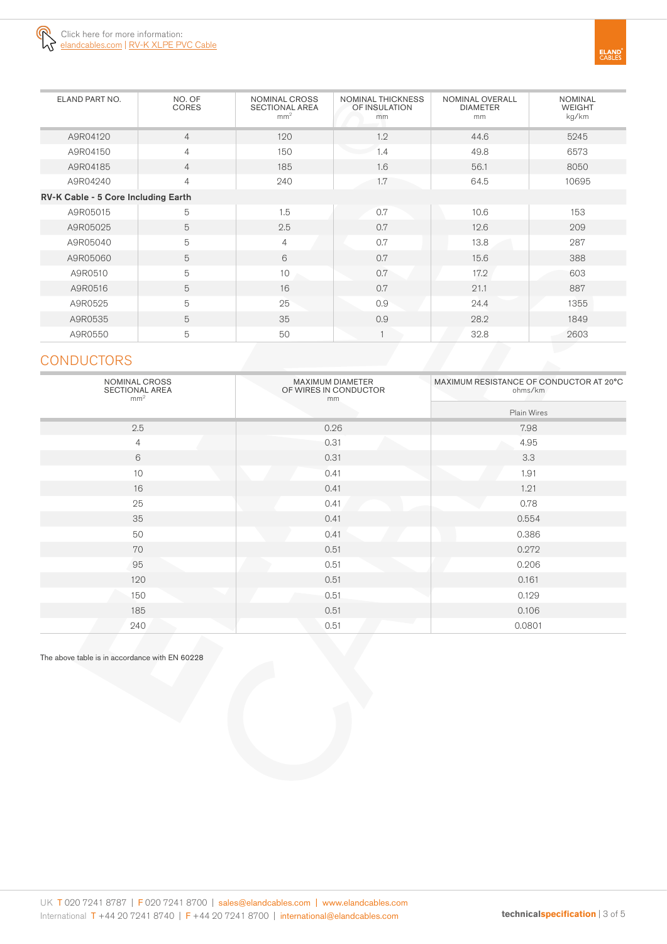

| ELAND PART NO.                      | NO. OF<br><b>CORES</b> | <b>NOMINAL CROSS</b><br><b>SECTIONAL AREA</b><br>mm <sup>2</sup> | NOMINAL THICKNESS<br>OF INSULATION<br>mm | NOMINAL OVERALL<br><b>DIAMETER</b><br>mm | <b>NOMINAL</b><br><b>WEIGHT</b><br>kg/km |
|-------------------------------------|------------------------|------------------------------------------------------------------|------------------------------------------|------------------------------------------|------------------------------------------|
| A9R04120                            | $\overline{4}$         | 120                                                              | 1.2                                      | 44.6                                     | 5245                                     |
| A9R04150                            | $\overline{4}$         | 150                                                              | 1.4                                      | 49.8                                     | 6573                                     |
| A9R04185                            | $\overline{4}$         | 185                                                              | 1.6                                      | 56.1                                     | 8050                                     |
| A9R04240                            | $\overline{4}$         | 240                                                              | 1.7                                      | 64.5                                     | 10695                                    |
| RV-K Cable - 5 Core Including Earth |                        |                                                                  |                                          |                                          |                                          |
| A9R05015                            | 5                      | 1.5                                                              | 0.7                                      | 10.6                                     | 153                                      |
| A9R05025                            | 5                      | 2.5                                                              | 0.7                                      | 12.6                                     | 209                                      |
| A9R05040                            | 5                      | $\overline{4}$                                                   | 0.7                                      | 13.8                                     | 287                                      |
| A9R05060                            | 5                      | 6                                                                | 0.7                                      | 15.6                                     | 388                                      |
| A9R0510                             | 5                      | 10                                                               | 0.7                                      | 17.2                                     | 603                                      |
| A9R0516                             | 5                      | 16                                                               | 0.7                                      | 21.1                                     | 887                                      |
| A9R0525                             | 5                      | 25                                                               | 0.9                                      | 24.4                                     | 1355                                     |
| A9R0535                             | 5                      | 35                                                               | 0.9                                      | 28.2                                     | 1849                                     |
| A9R0550                             | 5                      | 50                                                               |                                          | 32.8                                     | 2603                                     |

# **CONDUCTORS**

| NOMINAL CROSS<br><b>SECTIONAL AREA</b><br>mm <sup>2</sup> | MAXIMUM DIAMETER<br>OF WIRES IN CONDUCTOR<br>mm | MAXIMUM RESISTANCE OF CONDUCTOR AT 20°C<br>ohms/km |  |  |
|-----------------------------------------------------------|-------------------------------------------------|----------------------------------------------------|--|--|
|                                                           |                                                 | Plain Wires                                        |  |  |
| 2.5                                                       | 0.26                                            | 7.98                                               |  |  |
| $\overline{4}$                                            | 0.31                                            | 4.95                                               |  |  |
| $6\,$                                                     | 0.31                                            | 3.3                                                |  |  |
| 10                                                        | 0.41                                            | 1.91                                               |  |  |
| 16                                                        | 0.41                                            | 1.21                                               |  |  |
| 25                                                        | 0.41                                            | 0.78                                               |  |  |
| 35                                                        | 0.41                                            | 0.554                                              |  |  |
| 50                                                        | 0.41                                            | 0.386                                              |  |  |
| 70                                                        | 0.51                                            | 0.272                                              |  |  |
| 95                                                        | 0.51                                            | 0.206                                              |  |  |
| 120                                                       | 0.51                                            | 0.161                                              |  |  |
| 150                                                       | 0.51                                            | 0.129                                              |  |  |
| 185                                                       | 0.51                                            | 0.106                                              |  |  |
| 240                                                       | 0.51                                            | 0.0801                                             |  |  |

The above table is in accordance with EN 60228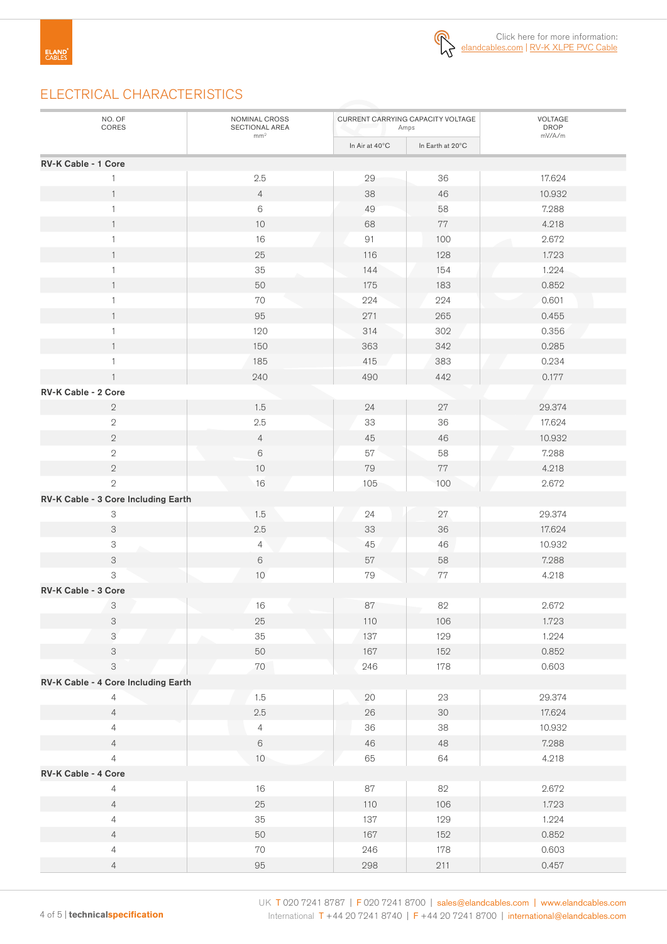

# ELECTRICAL CHARACTERISTICS

| NO. OF<br>CORES                     | NOMINAL CROSS<br>SECTIONAL AREA<br>mm <sup>2</sup> |                | CURRENT CARRYING CAPACITY VOLTAGE<br>Amps | VOLTAGE<br>DROP<br>mV/A/m |
|-------------------------------------|----------------------------------------------------|----------------|-------------------------------------------|---------------------------|
|                                     |                                                    | In Air at 40°C | In Earth at 20°C                          |                           |
| RV-K Cable - 1 Core                 |                                                    |                |                                           |                           |
|                                     | 2.5                                                | 29             | 36                                        | 17.624                    |
| 1                                   | $\overline{4}$                                     | 38             | 46                                        | 10.932                    |
| $\mathbf{1}$                        | $\,6\,$                                            | 49             | 58                                        | 7.288                     |
| $\mathbf{1}$                        | 10                                                 | 68             | $77\,$                                    | 4.218                     |
| 1                                   | 16                                                 | 91             | 100                                       | 2.672                     |
| $\mathbf{1}$                        | 25                                                 | 116            | 128                                       | 1.723                     |
| $\mathbf{1}$                        | 35                                                 | 144            | 154                                       | 1.224                     |
| $\mathbf{1}$                        | 50                                                 | 175            | 183                                       | 0.852                     |
| 1                                   | 70                                                 | 224            | 224                                       | 0.601                     |
| $\mathbf{1}$                        | 95                                                 | 271            | 265                                       | 0.455                     |
| 1                                   | 120                                                | 314            | 302                                       | 0.356                     |
| 1                                   | 150                                                | 363            | 342                                       | 0.285                     |
| 1                                   | 185                                                | 415            | 383                                       | 0.234                     |
| $\mathbf{1}$                        | 240                                                | 490            | 442                                       | 0.177                     |
| RV-K Cable - 2 Core                 |                                                    |                |                                           |                           |
| $\sqrt{2}$                          | 1.5                                                | 24             | 27                                        | 29.374                    |
| $\sqrt{2}$                          | 2.5                                                | 33             | 36                                        | 17.624                    |
| $\sqrt{2}$                          | $\overline{4}$                                     | 45             | 46                                        | 10.932                    |
| $\sqrt{2}$                          | $\,6\,$                                            | 57             | 58                                        | 7.288                     |
| $\sqrt{2}$                          | $10$                                               | 79             | $77\,$                                    | 4.218                     |
| $\overline{2}$                      | 16                                                 | 105            | 100                                       | 2.672                     |
| RV-K Cable - 3 Core Including Earth |                                                    |                |                                           |                           |
| 3                                   | 1.5                                                | $24\,$         | 27                                        | 29.374                    |
| $\ensuremath{\mathsf{3}}$           | 2.5                                                | 33             | 36                                        | 17.624                    |
| 3                                   | 4                                                  | 45             | 46                                        | 10.932                    |
| $\ensuremath{\mathsf{3}}$           | $\,6\,$                                            | $57\,$         | 58                                        | 7.288                     |
| 3                                   | 10                                                 | 79             | $77\,$                                    | 4.218                     |
| RV-K Cable - 3 Core                 |                                                    |                |                                           |                           |
| 3                                   | $16\,$                                             | $87\,$         | 82                                        | 2.672                     |
| $\ensuremath{\mathsf{3}}$           | 25                                                 | 110            | 106                                       | 1.723                     |
| 3                                   | 35                                                 | 137            | 129                                       | 1.224                     |
| $\ensuremath{\mathsf{3}}$           | 50                                                 | 167            | 152                                       | 0.852                     |
| 3                                   | $70\,$                                             | 246            | 178                                       | 0.603                     |
| RV-K Cable - 4 Core Including Earth |                                                    |                |                                           |                           |
| 4                                   | 1.5                                                | 20             | 23                                        | 29.374                    |
| $\overline{4}$                      | 2.5                                                | $26\,$         | $30\,$                                    | 17.624                    |
| $\overline{4}$                      | $\overline{4}$                                     | $36\,$         | 38                                        | 10.932                    |
| $\overline{4}$                      | $\,6\,$                                            | $46\,$         | 48                                        | 7.288                     |
| $\overline{4}$                      | $10$                                               | 65             | 64                                        | 4.218                     |
| RV-K Cable - 4 Core                 |                                                    |                |                                           |                           |
| $\overline{4}$                      | 16                                                 | $87\,$         | 82                                        | 2.672                     |
| $\overline{4}$                      | $25\,$                                             | 110            | 106                                       | 1.723                     |
| $\overline{4}$                      | $35\,$                                             | 137            | 129                                       | 1.224                     |
| $\overline{4}$                      | 50                                                 | 167            | 152                                       | 0.852                     |
| $\overline{4}$                      | $70\,$                                             | 246            | 178                                       | 0.603                     |
| $\overline{4}$                      | $95\,$                                             | 298            | 211                                       | 0.457                     |